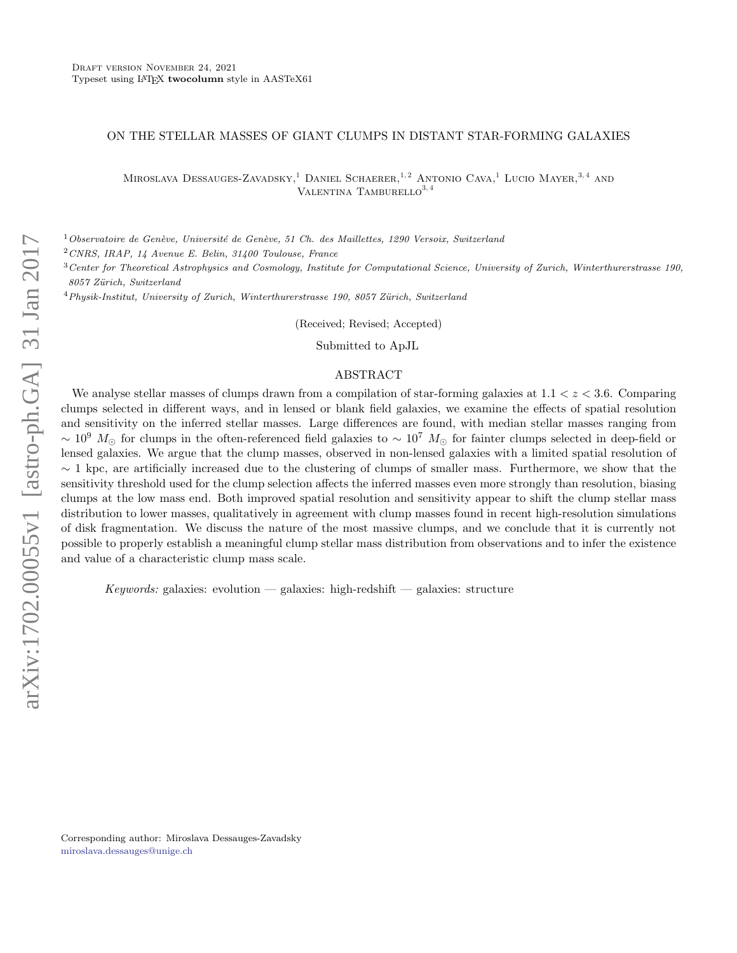#### ON THE STELLAR MASSES OF GIANT CLUMPS IN DISTANT STAR-FORMING GALAXIES

MIROSLAVA DESSAUGES-ZAVADSKY,<sup>1</sup> DANIEL SCHAERER,<sup>1,2</sup> ANTONIO CAVA,<sup>1</sup> LUCIO MAYER,<sup>3,4</sup> AND VALENTINA TAMBURELLO $^{3,4}$ 

 $1$ Observatoire de Genève, Université de Genève, 51 Ch. des Maillettes, 1290 Versoix, Switzerland

<sup>2</sup>CNRS, IRAP, 14 Avenue E. Belin, 31400 Toulouse, France

 $3$  Center for Theoretical Astrophysics and Cosmology, Institute for Computational Science, University of Zurich, Winterthurerstrasse 190, 8057 Zürich, Switzerland

 $4$ Physik-Institut, University of Zurich, Winterthurerstrasse 190, 8057 Zürich, Switzerland

(Received; Revised; Accepted)

Submitted to ApJL

#### ABSTRACT

We analyse stellar masses of clumps drawn from a compilation of star-forming galaxies at  $1.1 < z < 3.6$ . Comparing clumps selected in different ways, and in lensed or blank field galaxies, we examine the effects of spatial resolution and sensitivity on the inferred stellar masses. Large differences are found, with median stellar masses ranging from  $\sim 10^9$  M<sub>⊙</sub> for clumps in the often-referenced field galaxies to  $\sim 10^7$  M<sub>☉</sub> for fainter clumps selected in deep-field or lensed galaxies. We argue that the clump masses, observed in non-lensed galaxies with a limited spatial resolution of  $\sim$  1 kpc, are artificially increased due to the clustering of clumps of smaller mass. Furthermore, we show that the sensitivity threshold used for the clump selection affects the inferred masses even more strongly than resolution, biasing clumps at the low mass end. Both improved spatial resolution and sensitivity appear to shift the clump stellar mass distribution to lower masses, qualitatively in agreement with clump masses found in recent high-resolution simulations of disk fragmentation. We discuss the nature of the most massive clumps, and we conclude that it is currently not possible to properly establish a meaningful clump stellar mass distribution from observations and to infer the existence and value of a characteristic clump mass scale.

Keywords: galaxies: evolution — galaxies: high-redshift — galaxies: structure

Corresponding author: Miroslava Dessauges-Zavadsky [miroslava.dessauges@unige.ch](mailto: miroslava.dessauges@unige.ch)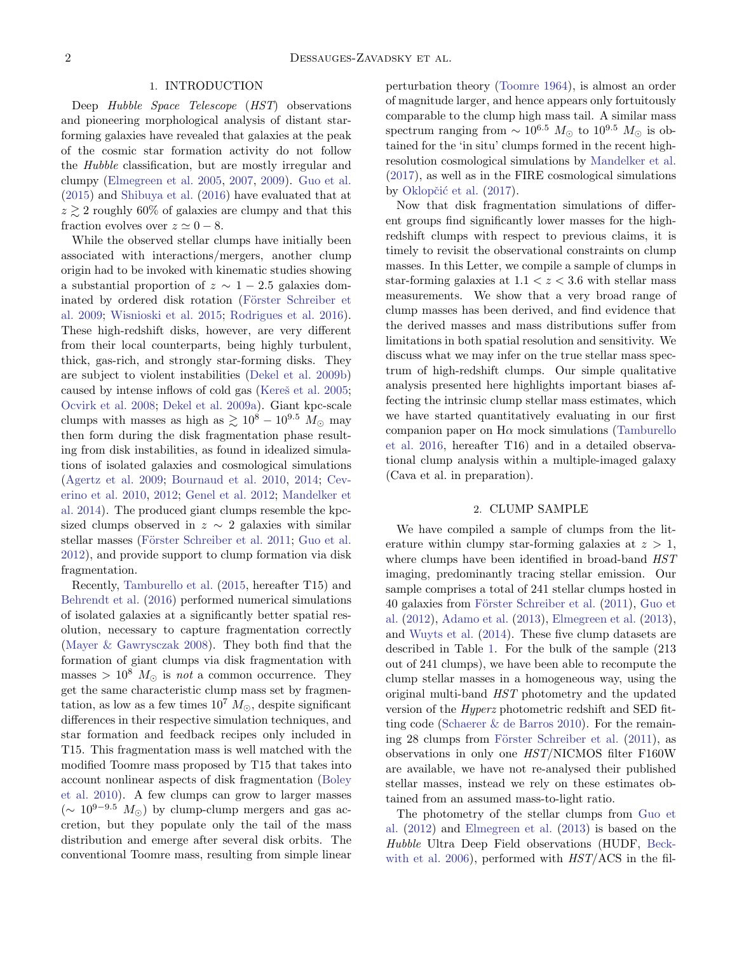### 1. INTRODUCTION

Deep Hubble Space Telescope (HST) observations and pioneering morphological analysis of distant starforming galaxies have revealed that galaxies at the peak of the cosmic star formation activity do not follow the Hubble classification, but are mostly irregular and clumpy [\(Elmegreen et al.](#page-7-0) [2005,](#page-7-0) [2007,](#page-7-1) [2009\)](#page-7-2). [Guo et al.](#page-7-3) [\(2015\)](#page-7-3) and [Shibuya et al.](#page-7-4) [\(2016\)](#page-7-4) have evaluated that at  $z \gtrsim 2$  roughly 60% of galaxies are clumpy and that this fraction evolves over  $z \simeq 0 - 8$ .

While the observed stellar clumps have initially been associated with interactions/mergers, another clump origin had to be invoked with kinematic studies showing a substantial proportion of  $z \sim 1-2.5$  galaxies dominated by ordered disk rotation (Förster Schreiber et [al.](#page-7-5) [2009;](#page-7-5) [Wisnioski et al.](#page-7-6) [2015;](#page-7-6) [Rodrigues et al.](#page-7-7) [2016\)](#page-7-7). These high-redshift disks, however, are very different from their local counterparts, being highly turbulent, thick, gas-rich, and strongly star-forming disks. They are subject to violent instabilities [\(Dekel et al.](#page-7-8) [2009b\)](#page-7-8) caused by intense inflows of cold gas (Kereš et al. [2005;](#page-7-9) [Ocvirk et al.](#page-7-10) [2008;](#page-7-10) [Dekel et al.](#page-7-11) [2009a\)](#page-7-11). Giant kpc-scale clumps with masses as high as  $\gtrsim 10^8 - 10^{9.5}$  M<sub>o</sub> may then form during the disk fragmentation phase resulting from disk instabilities, as found in idealized simulations of isolated galaxies and cosmological simulations [\(Agertz et al.](#page-7-12) [2009;](#page-7-12) [Bournaud et al.](#page-7-13) [2010,](#page-7-13) [2014;](#page-7-14) [Cev](#page-7-15)[erino et al.](#page-7-15) [2010,](#page-7-15) [2012;](#page-7-16) [Genel et al.](#page-7-17) [2012;](#page-7-17) [Mandelker et](#page-7-18) [al.](#page-7-18) [2014\)](#page-7-18). The produced giant clumps resemble the kpcsized clumps observed in  $z \sim 2$  galaxies with similar stellar masses (Förster Schreiber et al. [2011;](#page-7-19) [Guo et al.](#page-7-20) [2012\)](#page-7-20), and provide support to clump formation via disk fragmentation.

Recently, [Tamburello et al.](#page-7-21) [\(2015,](#page-7-21) hereafter T15) and [Behrendt et al.](#page-7-22) [\(2016\)](#page-7-22) performed numerical simulations of isolated galaxies at a significantly better spatial resolution, necessary to capture fragmentation correctly [\(Mayer & Gawrysczak](#page-7-23) [2008\)](#page-7-23). They both find that the formation of giant clumps via disk fragmentation with masses >  $10^8$   $M_{\odot}$  is not a common occurrence. They get the same characteristic clump mass set by fragmentation, as low as a few times  $10^7 M_{\odot}$ , despite significant differences in their respective simulation techniques, and star formation and feedback recipes only included in T15. This fragmentation mass is well matched with the modified Toomre mass proposed by T15 that takes into account nonlinear aspects of disk fragmentation [\(Boley](#page-7-24) [et al.](#page-7-24) [2010\)](#page-7-24). A few clumps can grow to larger masses  $(\sim 10^{9-9.5}$  M<sub>☉</sub>) by clump-clump mergers and gas accretion, but they populate only the tail of the mass distribution and emerge after several disk orbits. The conventional Toomre mass, resulting from simple linear

perturbation theory [\(Toomre](#page-7-25) [1964\)](#page-7-25), is almost an order of magnitude larger, and hence appears only fortuitously comparable to the clump high mass tail. A similar mass spectrum ranging from  $\sim 10^{6.5}$   $M_{\odot}$  to  $10^{9.5}$   $M_{\odot}$  is obtained for the 'in situ' clumps formed in the recent highresolution cosmological simulations by [Mandelker et al.](#page-7-26) [\(2017\)](#page-7-26), as well as in the FIRE cosmological simulations by Oklopčić et al. [\(2017\)](#page-7-27).

Now that disk fragmentation simulations of different groups find significantly lower masses for the highredshift clumps with respect to previous claims, it is timely to revisit the observational constraints on clump masses. In this Letter, we compile a sample of clumps in star-forming galaxies at  $1.1 < z < 3.6$  with stellar mass measurements. We show that a very broad range of clump masses has been derived, and find evidence that the derived masses and mass distributions suffer from limitations in both spatial resolution and sensitivity. We discuss what we may infer on the true stellar mass spectrum of high-redshift clumps. Our simple qualitative analysis presented here highlights important biases affecting the intrinsic clump stellar mass estimates, which we have started quantitatively evaluating in our first companion paper on  $H\alpha$  mock simulations [\(Tamburello](#page-7-28) [et al.](#page-7-28) [2016,](#page-7-28) hereafter T16) and in a detailed observational clump analysis within a multiple-imaged galaxy (Cava et al. in preparation).

### 2. CLUMP SAMPLE

We have compiled a sample of clumps from the literature within clumpy star-forming galaxies at  $z > 1$ , where clumps have been identified in broad-band  $HST$ imaging, predominantly tracing stellar emission. Our sample comprises a total of 241 stellar clumps hosted in 40 galaxies from Förster Schreiber et al. [\(2011\)](#page-7-19), [Guo et](#page-7-20) [al.](#page-7-20) [\(2012\)](#page-7-20), [Adamo et al.](#page-6-0) [\(2013\)](#page-6-0), [Elmegreen et al.](#page-7-29) [\(2013\)](#page-7-29), and [Wuyts et al.](#page-7-30) [\(2014\)](#page-7-30). These five clump datasets are described in Table [1.](#page-3-0) For the bulk of the sample (213 out of 241 clumps), we have been able to recompute the clump stellar masses in a homogeneous way, using the original multi-band HST photometry and the updated version of the Hyperz photometric redshift and SED fitting code [\(Schaerer & de Barros](#page-7-31) [2010\)](#page-7-31). For the remaining 28 clumps from Förster Schreiber et al.  $(2011)$ , as observations in only one HST/NICMOS filter F160W are available, we have not re-analysed their published stellar masses, instead we rely on these estimates obtained from an assumed mass-to-light ratio.

The photometry of the stellar clumps from [Guo et](#page-7-20) [al.](#page-7-20) [\(2012\)](#page-7-20) and [Elmegreen et al.](#page-7-29) [\(2013\)](#page-7-29) is based on the Hubble Ultra Deep Field observations (HUDF, [Beck](#page-7-32)[with et al.](#page-7-32) [2006\)](#page-7-32), performed with  $HST/ACS$  in the fil-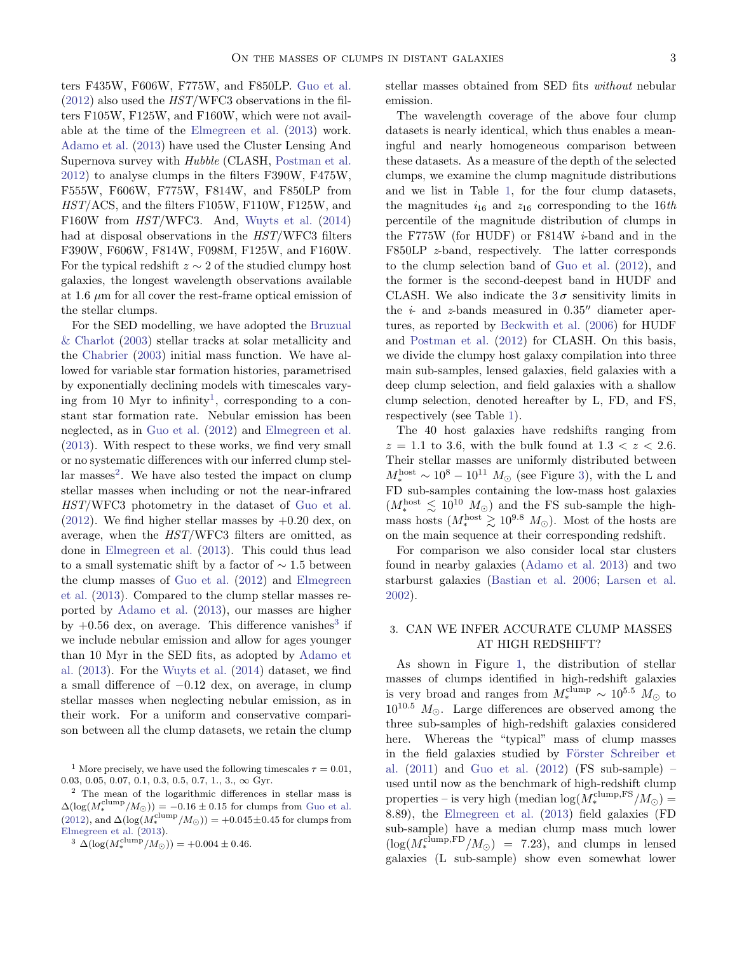ters F435W, F606W, F775W, and F850LP. [Guo et al.](#page-7-20)  $(2012)$  also used the  $HST/WFC3$  observations in the filters F105W, F125W, and F160W, which were not available at the time of the [Elmegreen et al.](#page-7-29) [\(2013\)](#page-7-29) work. [Adamo et al.](#page-6-0) [\(2013\)](#page-6-0) have used the Cluster Lensing And Supernova survey with Hubble (CLASH, [Postman et al.](#page-7-33) [2012\)](#page-7-33) to analyse clumps in the filters F390W, F475W, F555W, F606W, F775W, F814W, and F850LP from HST/ACS, and the filters F105W, F110W, F125W, and F160W from HST/WFC3. And, [Wuyts et al.](#page-7-30) [\(2014\)](#page-7-30) had at disposal observations in the HST/WFC3 filters F390W, F606W, F814W, F098M, F125W, and F160W. For the typical redshift  $z \sim 2$  of the studied clumpy host galaxies, the longest wavelength observations available at 1.6  $\mu$ m for all cover the rest-frame optical emission of the stellar clumps.

For the SED modelling, we have adopted the [Bruzual](#page-7-34) [& Charlot](#page-7-34) [\(2003\)](#page-7-34) stellar tracks at solar metallicity and the [Chabrier](#page-7-35) [\(2003\)](#page-7-35) initial mass function. We have allowed for variable star formation histories, parametrised by exponentially declining models with timescales vary-ing from [1](#page-2-0)0 Myr to infinity<sup>1</sup>, corresponding to a constant star formation rate. Nebular emission has been neglected, as in [Guo et al.](#page-7-20) [\(2012\)](#page-7-20) and [Elmegreen et al.](#page-7-29) [\(2013\)](#page-7-29). With respect to these works, we find very small or no systematic differences with our inferred clump stel-lar masses<sup>[2](#page-2-1)</sup>. We have also tested the impact on clump stellar masses when including or not the near-infrared HST/WFC3 photometry in the dataset of [Guo et al.](#page-7-20)  $(2012)$ . We find higher stellar masses by  $+0.20$  dex, on average, when the HST/WFC3 filters are omitted, as done in [Elmegreen et al.](#page-7-29) [\(2013\)](#page-7-29). This could thus lead to a small systematic shift by a factor of  $\sim$  1.5 between the clump masses of [Guo et al.](#page-7-20) [\(2012\)](#page-7-20) and [Elmegreen](#page-7-29) [et al.](#page-7-29) [\(2013\)](#page-7-29). Compared to the clump stellar masses reported by [Adamo et al.](#page-6-0) [\(2013\)](#page-6-0), our masses are higher by  $+0.56$  dex, on average. This difference vanishes<sup>[3](#page-2-2)</sup> if we include nebular emission and allow for ages younger than 10 Myr in the SED fits, as adopted by [Adamo et](#page-6-0) [al.](#page-6-0) [\(2013\)](#page-6-0). For the [Wuyts et al.](#page-7-30) [\(2014\)](#page-7-30) dataset, we find a small difference of −0.12 dex, on average, in clump stellar masses when neglecting nebular emission, as in their work. For a uniform and conservative comparison between all the clump datasets, we retain the clump

stellar masses obtained from SED fits without nebular emission.

The wavelength coverage of the above four clump datasets is nearly identical, which thus enables a meaningful and nearly homogeneous comparison between these datasets. As a measure of the depth of the selected clumps, we examine the clump magnitude distributions and we list in Table [1,](#page-3-0) for the four clump datasets, the magnitudes  $i_{16}$  and  $z_{16}$  corresponding to the 16th percentile of the magnitude distribution of clumps in the F775W (for HUDF) or F814W i-band and in the F850LP z-band, respectively. The latter corresponds to the clump selection band of [Guo et al.](#page-7-20) [\(2012\)](#page-7-20), and the former is the second-deepest band in HUDF and CLASH. We also indicate the  $3\sigma$  sensitivity limits in the  $i$ - and z-bands measured in 0.35<sup> $\prime\prime$ </sup> diameter apertures, as reported by [Beckwith et al.](#page-7-32) [\(2006\)](#page-7-32) for HUDF and [Postman et al.](#page-7-33) [\(2012\)](#page-7-33) for CLASH. On this basis, we divide the clumpy host galaxy compilation into three main sub-samples, lensed galaxies, field galaxies with a deep clump selection, and field galaxies with a shallow clump selection, denoted hereafter by L, FD, and FS, respectively (see Table [1\)](#page-3-0).

The 40 host galaxies have redshifts ranging from  $z = 1.1$  to 3.6, with the bulk found at  $1.3 < z < 2.6$ . Their stellar masses are uniformly distributed between  $M_*^{\text{host}} \sim 10^8 - 10^{11} M_{\odot}$  (see Figure [3\)](#page-5-0), with the L and FD sub-samples containing the low-mass host galaxies  $(M_*^{\text{host}} \lesssim 10^{10} M_{\odot})$  and the FS sub-sample the highmass hosts  $(M_*^{\text{host}} \geq 10^{9.8} M_{\odot})$ . Most of the hosts are on the main sequence at their corresponding redshift.

For comparison we also consider local star clusters found in nearby galaxies [\(Adamo et al.](#page-6-0) [2013\)](#page-6-0) and two starburst galaxies [\(Bastian et al.](#page-7-36) [2006;](#page-7-36) [Larsen et al.](#page-7-37) [2002\)](#page-7-37).

### <span id="page-2-3"></span>3. CAN WE INFER ACCURATE CLUMP MASSES AT HIGH REDSHIFT?

As shown in Figure [1,](#page-4-0) the distribution of stellar masses of clumps identified in high-redshift galaxies is very broad and ranges from  $M_*^{\text{clump}} \sim 10^{5.5} M_{\odot}$  to  $10^{10.5}$   $M_{\odot}$ . Large differences are observed among the three sub-samples of high-redshift galaxies considered here. Whereas the "typical" mass of clump masses in the field galaxies studied by Förster Schreiber et [al.](#page-7-19) [\(2011\)](#page-7-19) and [Guo et al.](#page-7-20) [\(2012\)](#page-7-20) (FS sub-sample) – used until now as the benchmark of high-redshift clump properties – is very high (median  $\log(M_{*}^{\text{clump},\text{FS}}/M_{\odot})=$ 8.89), the [Elmegreen et al.](#page-7-29) [\(2013\)](#page-7-29) field galaxies (FD sub-sample) have a median clump mass much lower  $(\log(M_{*}^{clump,FD}/M_{\odot}) = 7.23)$ , and clumps in lensed galaxies (L sub-sample) show even somewhat lower

<span id="page-2-0"></span><sup>&</sup>lt;sup>1</sup> More precisely, we have used the following timescales  $\tau = 0.01$ , 0.03, 0.05, 0.07, 0.1, 0.3, 0.5, 0.7, 1., 3.,  $\infty$  Gyr.

<span id="page-2-1"></span><sup>2</sup> The mean of the logarithmic differences in stellar mass is  $\Delta(\log(M_{*}^{\text{clump}}/M_{\odot})) = -0.16 \pm 0.15$  for clumps from [Guo et al.](#page-7-20) [\(2012\)](#page-7-20), and  $\Delta(\log(M_{*}^{\text{clump}}/M_{\odot})) = +0.045 \pm 0.45$  for clumps from [Elmegreen et al.](#page-7-29) [\(2013\)](#page-7-29).

<span id="page-2-2"></span><sup>&</sup>lt;sup>3</sup>  $\Delta(\log(M_{*}^{\text{clump}}/M_{\odot})) = +0.004 \pm 0.46.$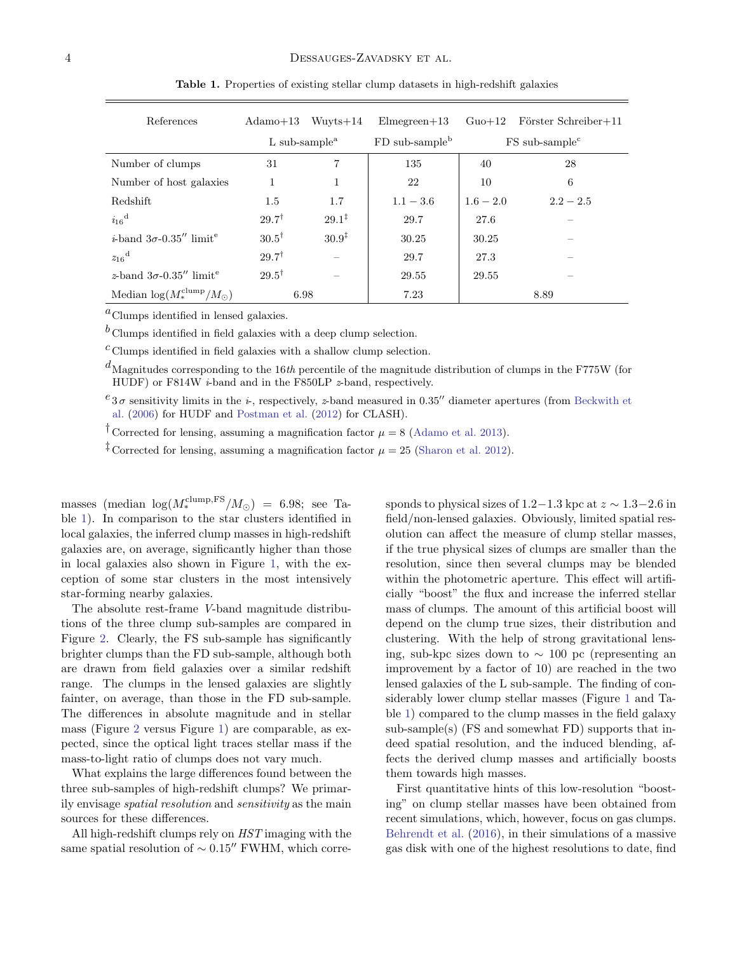| References                                         | Adamo $+13$                            | $Wuvts+14$        | $Elmegreen+13$               | $Guo+12$                     | Förster Schreiber+11 |
|----------------------------------------------------|----------------------------------------|-------------------|------------------------------|------------------------------|----------------------|
|                                                    | L sub-sample <sup><math>a</math></sup> |                   | $FD$ sub-sample <sup>b</sup> | $FS$ sub-sample <sup>c</sup> |                      |
| Number of clumps                                   | 31                                     | 7                 | 135                          | 40                           | 28                   |
| Number of host galaxies                            |                                        | 1                 | 22                           | 10                           | 6                    |
| <b>Redshift</b>                                    | 1.5                                    | $1.7\,$           | $1.1 - 3.6$                  | $1.6 - 2.0$                  | $2.2 - 2.5$          |
| $i_{16}$ <sup>d</sup>                              | $29.7^{\dagger}$                       | $29.1^{\ddagger}$ | 29.7                         | 27.6                         |                      |
| <i>i</i> -band $3\sigma$ -0.35" limit <sup>e</sup> | $30.5^{\dagger}$                       | $30.9^{\ddagger}$ | 30.25                        | 30.25                        |                      |
| $z_{16}$ <sup>d</sup>                              | $29.7^{\dagger}$                       |                   | 29.7                         | 27.3                         |                      |
| z-band $3\sigma$ -0.35" limit <sup>e</sup>         | $29.5^{\dagger}$                       |                   | 29.55                        | 29.55                        |                      |
| Median $\log(M_*^{\text{clump}}/M_{\odot})$        | 6.98                                   |                   | 7.23                         | 8.89                         |                      |

<span id="page-3-0"></span>Table 1. Properties of existing stellar clump datasets in high-redshift galaxies

 ${}^a$ Clumps identified in lensed galaxies.

 $b$  Clumps identified in field galaxies with a deep clump selection.

 $c$  Clumps identified in field galaxies with a shallow clump selection.

 $d_{\text{Magnitudes corresponding to the 16th percentile of the magnitude distribution of clumps in the F775W (for }$ HUDF) or F814W  $i$ -band and in the F850LP  $z$ -band, respectively.

 $e_{3\sigma}$  sensitivity limits in the *i*-, respectively, *z*-band measured in 0.35<sup>t</sup> diameter apertures (from [Beckwith et](#page-7-32) [al.](#page-7-32) [\(2006\)](#page-7-32) for HUDF and [Postman et al.](#page-7-33) [\(2012\)](#page-7-33) for CLASH).

<sup>†</sup> Corrected for lensing, assuming a magnification factor  $\mu = 8$  [\(Adamo et al.](#page-6-0) [2013\)](#page-6-0).

<sup> $\ddagger$ </sup> Corrected for lensing, assuming a magnification factor  $\mu = 25$  [\(Sharon et al.](#page-7-38) [2012\)](#page-7-38).

masses (median  $\log(M_*^{\text{clump},\text{FS}}/M_{\odot})$  = 6.98; see Table [1\)](#page-3-0). In comparison to the star clusters identified in local galaxies, the inferred clump masses in high-redshift galaxies are, on average, significantly higher than those in local galaxies also shown in Figure [1,](#page-4-0) with the exception of some star clusters in the most intensively star-forming nearby galaxies.

The absolute rest-frame V-band magnitude distributions of the three clump sub-samples are compared in Figure [2.](#page-4-1) Clearly, the FS sub-sample has significantly brighter clumps than the FD sub-sample, although both are drawn from field galaxies over a similar redshift range. The clumps in the lensed galaxies are slightly fainter, on average, than those in the FD sub-sample. The differences in absolute magnitude and in stellar mass (Figure [2](#page-4-1) versus Figure [1\)](#page-4-0) are comparable, as expected, since the optical light traces stellar mass if the mass-to-light ratio of clumps does not vary much.

What explains the large differences found between the three sub-samples of high-redshift clumps? We primarily envisage spatial resolution and sensitivity as the main sources for these differences.

All high-redshift clumps rely on HST imaging with the same spatial resolution of  $\sim 0.15$ <sup>"</sup> FWHM, which corresponds to physical sizes of  $1.2-1.3$  kpc at  $z \sim 1.3-2.6$  in field/non-lensed galaxies. Obviously, limited spatial resolution can affect the measure of clump stellar masses, if the true physical sizes of clumps are smaller than the resolution, since then several clumps may be blended within the photometric aperture. This effect will artificially "boost" the flux and increase the inferred stellar mass of clumps. The amount of this artificial boost will depend on the clump true sizes, their distribution and clustering. With the help of strong gravitational lensing, sub-kpc sizes down to ∼ 100 pc (representing an improvement by a factor of 10) are reached in the two lensed galaxies of the L sub-sample. The finding of considerably lower clump stellar masses (Figure [1](#page-4-0) and Table [1\)](#page-3-0) compared to the clump masses in the field galaxy  $sub-sample(s)$  (FS and somewhat FD) supports that indeed spatial resolution, and the induced blending, affects the derived clump masses and artificially boosts them towards high masses.

First quantitative hints of this low-resolution "boosting" on clump stellar masses have been obtained from recent simulations, which, however, focus on gas clumps. [Behrendt et al.](#page-7-22) [\(2016\)](#page-7-22), in their simulations of a massive gas disk with one of the highest resolutions to date, find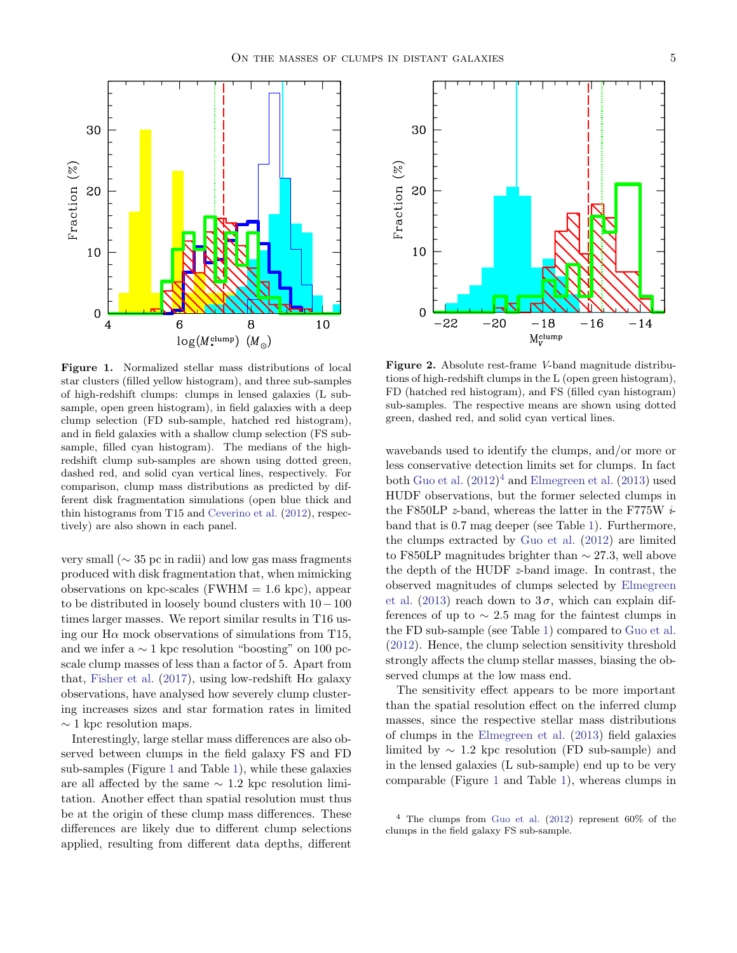

<span id="page-4-0"></span>Figure 1. Normalized stellar mass distributions of local star clusters (filled yellow histogram), and three sub-samples of high-redshift clumps: clumps in lensed galaxies (L subsample, open green histogram), in field galaxies with a deep clump selection (FD sub-sample, hatched red histogram), and in field galaxies with a shallow clump selection (FS subsample, filled cyan histogram). The medians of the highredshift clump sub-samples are shown using dotted green, dashed red, and solid cyan vertical lines, respectively. For comparison, clump mass distributions as predicted by different disk fragmentation simulations (open blue thick and thin histograms from T15 and [Ceverino et al.](#page-7-16) [\(2012\)](#page-7-16), respectively) are also shown in each panel.

very small (∼ 35 pc in radii) and low gas mass fragments produced with disk fragmentation that, when mimicking observations on kpc-scales (FWHM  $= 1.6$  kpc), appear to be distributed in loosely bound clusters with 10−100 times larger masses. We report similar results in T16 using our  $H\alpha$  mock observations of simulations from T15, and we infer a  $\sim$  1 kpc resolution "boosting" on 100 pcscale clump masses of less than a factor of 5. Apart from that, [Fisher et al.](#page-7-39) [\(2017\)](#page-7-39), using low-redshift  $H\alpha$  galaxy observations, have analysed how severely clump clustering increases sizes and star formation rates in limited  $\sim$  1 kpc resolution maps.

Interestingly, large stellar mass differences are also observed between clumps in the field galaxy FS and FD sub-samples (Figure [1](#page-4-0) and Table [1\)](#page-3-0), while these galaxies are all affected by the same  $\sim$  1.2 kpc resolution limitation. Another effect than spatial resolution must thus be at the origin of these clump mass differences. These differences are likely due to different clump selections applied, resulting from different data depths, different



<span id="page-4-1"></span>Figure 2. Absolute rest-frame V-band magnitude distributions of high-redshift clumps in the L (open green histogram), FD (hatched red histogram), and FS (filled cyan histogram) sub-samples. The respective means are shown using dotted green, dashed red, and solid cyan vertical lines.

wavebands used to identify the clumps, and/or more or less conservative detection limits set for clumps. In fact both [Guo et al.](#page-7-20)  $(2012)^4$  $(2012)^4$  $(2012)^4$  and [Elmegreen et al.](#page-7-29)  $(2013)$  used HUDF observations, but the former selected clumps in the F850LP  $z$ -band, whereas the latter in the F775W  $i$ band that is 0.7 mag deeper (see Table [1\)](#page-3-0). Furthermore, the clumps extracted by [Guo et al.](#page-7-20) [\(2012\)](#page-7-20) are limited to F850LP magnitudes brighter than  $\sim$  27.3, well above the depth of the HUDF z-band image. In contrast, the observed magnitudes of clumps selected by [Elmegreen](#page-7-29) [et al.](#page-7-29) [\(2013\)](#page-7-29) reach down to  $3\sigma$ , which can explain differences of up to  $\sim$  2.5 mag for the faintest clumps in the FD sub-sample (see Table [1\)](#page-3-0) compared to [Guo et al.](#page-7-20) [\(2012\)](#page-7-20). Hence, the clump selection sensitivity threshold strongly affects the clump stellar masses, biasing the observed clumps at the low mass end.

The sensitivity effect appears to be more important than the spatial resolution effect on the inferred clump masses, since the respective stellar mass distributions of clumps in the [Elmegreen et al.](#page-7-29) [\(2013\)](#page-7-29) field galaxies limited by  $\sim$  1.2 kpc resolution (FD sub-sample) and in the lensed galaxies (L sub-sample) end up to be very comparable (Figure [1](#page-4-0) and Table [1\)](#page-3-0), whereas clumps in

<span id="page-4-2"></span> $4$  The clumps from [Guo et al.](#page-7-20) [\(2012\)](#page-7-20) represent 60% of the clumps in the field galaxy FS sub-sample.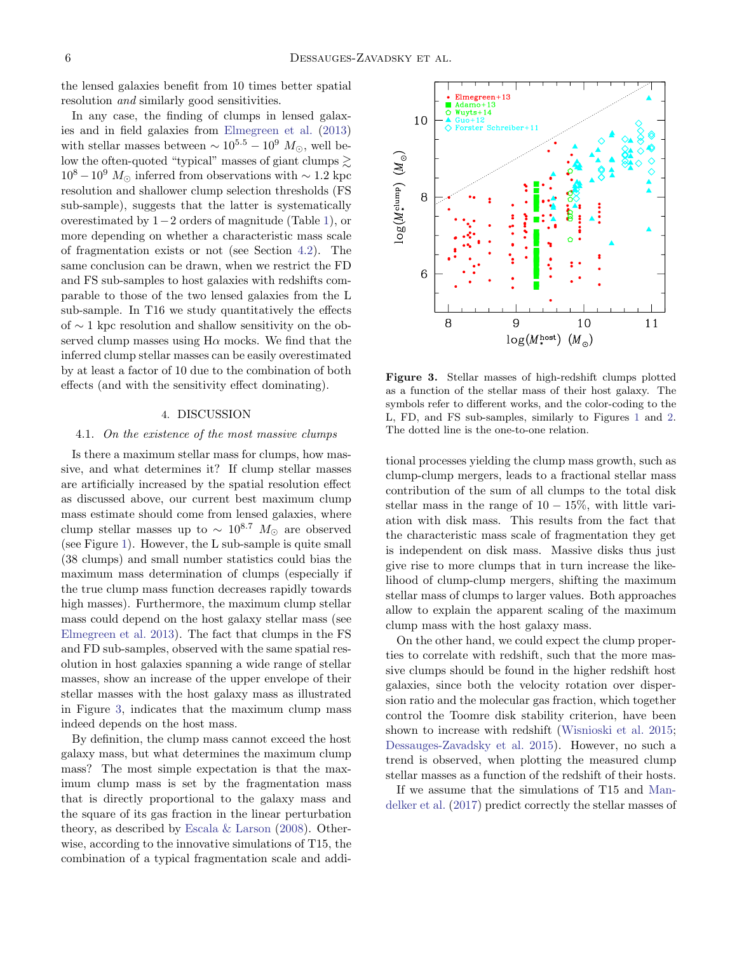the lensed galaxies benefit from 10 times better spatial resolution and similarly good sensitivities.

In any case, the finding of clumps in lensed galaxies and in field galaxies from [Elmegreen et al.](#page-7-29) [\(2013\)](#page-7-29) with stellar masses between  $\sim 10^{5.5} - 10^9$   $M_{\odot}$ , well below the often-quoted "typical" masses of giant clumps  $\geq$  $10^8 - 10^9$  M<sub>⊙</sub> inferred from observations with ~ 1.2 kpc resolution and shallower clump selection thresholds (FS sub-sample), suggests that the latter is systematically overestimated by 1−2 orders of magnitude (Table [1\)](#page-3-0), or more depending on whether a characteristic mass scale of fragmentation exists or not (see Section [4.2\)](#page-6-1). The same conclusion can be drawn, when we restrict the FD and FS sub-samples to host galaxies with redshifts comparable to those of the two lensed galaxies from the L sub-sample. In T16 we study quantitatively the effects of ∼ 1 kpc resolution and shallow sensitivity on the observed clump masses using  $H\alpha$  mocks. We find that the inferred clump stellar masses can be easily overestimated by at least a factor of 10 due to the combination of both effects (and with the sensitivity effect dominating).

### 4. DISCUSSION

#### 4.1. On the existence of the most massive clumps

Is there a maximum stellar mass for clumps, how massive, and what determines it? If clump stellar masses are artificially increased by the spatial resolution effect as discussed above, our current best maximum clump mass estimate should come from lensed galaxies, where clump stellar masses up to  $\sim 10^{8.7} M_{\odot}$  are observed (see Figure [1\)](#page-4-0). However, the L sub-sample is quite small (38 clumps) and small number statistics could bias the maximum mass determination of clumps (especially if the true clump mass function decreases rapidly towards high masses). Furthermore, the maximum clump stellar mass could depend on the host galaxy stellar mass (see [Elmegreen et al.](#page-7-29) [2013\)](#page-7-29). The fact that clumps in the FS and FD sub-samples, observed with the same spatial resolution in host galaxies spanning a wide range of stellar masses, show an increase of the upper envelope of their stellar masses with the host galaxy mass as illustrated in Figure [3,](#page-5-0) indicates that the maximum clump mass indeed depends on the host mass.

By definition, the clump mass cannot exceed the host galaxy mass, but what determines the maximum clump mass? The most simple expectation is that the maximum clump mass is set by the fragmentation mass that is directly proportional to the galaxy mass and the square of its gas fraction in the linear perturbation theory, as described by [Escala & Larson](#page-7-40) [\(2008\)](#page-7-40). Otherwise, according to the innovative simulations of T15, the combination of a typical fragmentation scale and addi-



<span id="page-5-0"></span>Figure 3. Stellar masses of high-redshift clumps plotted as a function of the stellar mass of their host galaxy. The symbols refer to different works, and the color-coding to the L, FD, and FS sub-samples, similarly to Figures [1](#page-4-0) and [2.](#page-4-1) The dotted line is the one-to-one relation.

tional processes yielding the clump mass growth, such as clump-clump mergers, leads to a fractional stellar mass contribution of the sum of all clumps to the total disk stellar mass in the range of  $10 - 15\%$ , with little variation with disk mass. This results from the fact that the characteristic mass scale of fragmentation they get is independent on disk mass. Massive disks thus just give rise to more clumps that in turn increase the likelihood of clump-clump mergers, shifting the maximum stellar mass of clumps to larger values. Both approaches allow to explain the apparent scaling of the maximum clump mass with the host galaxy mass.

On the other hand, we could expect the clump properties to correlate with redshift, such that the more massive clumps should be found in the higher redshift host galaxies, since both the velocity rotation over dispersion ratio and the molecular gas fraction, which together control the Toomre disk stability criterion, have been shown to increase with redshift [\(Wisnioski et al.](#page-7-6) [2015;](#page-7-6) [Dessauges-Zavadsky et al.](#page-7-41) [2015\)](#page-7-41). However, no such a trend is observed, when plotting the measured clump stellar masses as a function of the redshift of their hosts.

If we assume that the simulations of T15 and [Man](#page-7-26)[delker et al.](#page-7-26) [\(2017\)](#page-7-26) predict correctly the stellar masses of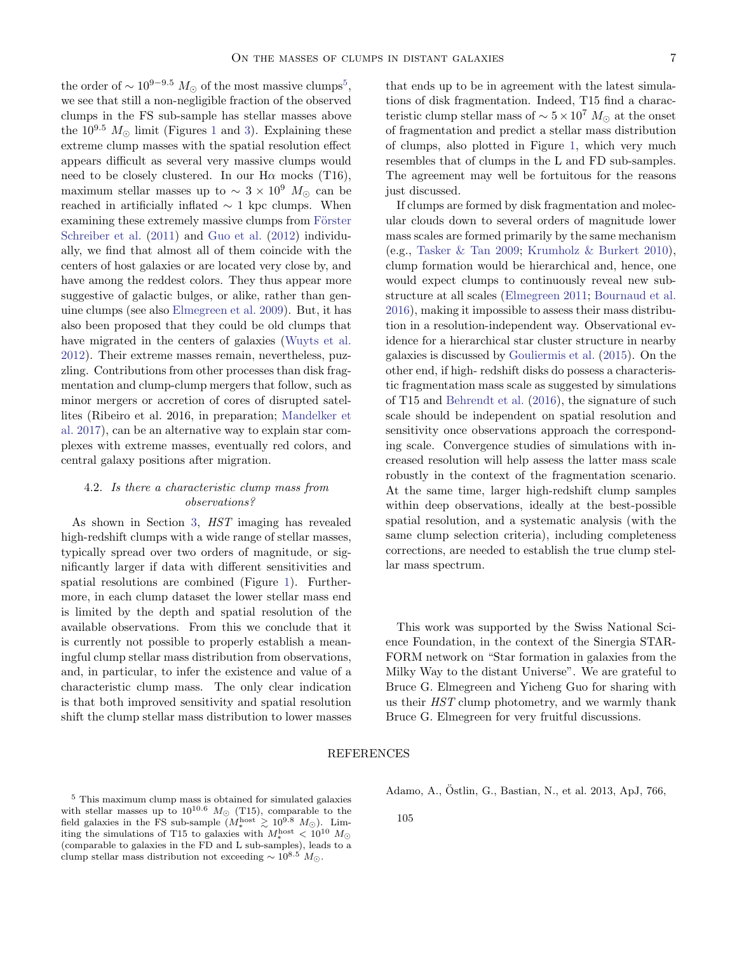the order of  $\sim 10^{9-9.5} M_{\odot}$  $\sim 10^{9-9.5} M_{\odot}$  $\sim 10^{9-9.5} M_{\odot}$  of the most massive clumps<sup>5</sup>, we see that still a non-negligible fraction of the observed clumps in the FS sub-sample has stellar masses above the  $10^{9.5}$  $10^{9.5}$   $M_{\odot}$  limit (Figures 1 and [3\)](#page-5-0). Explaining these extreme clump masses with the spatial resolution effect appears difficult as several very massive clumps would need to be closely clustered. In our  $H\alpha$  mocks (T16), maximum stellar masses up to  $\sim 3 \times 10^9$  M<sub>☉</sub> can be reached in artificially inflated  $\sim 1$  kpc clumps. When examining these extremely massive clumps from Förster [Schreiber et al.](#page-7-19) [\(2011\)](#page-7-19) and [Guo et al.](#page-7-20) [\(2012\)](#page-7-20) individually, we find that almost all of them coincide with the centers of host galaxies or are located very close by, and have among the reddest colors. They thus appear more suggestive of galactic bulges, or alike, rather than genuine clumps (see also [Elmegreen et al.](#page-7-2) [2009\)](#page-7-2). But, it has also been proposed that they could be old clumps that have migrated in the centers of galaxies [\(Wuyts et al.](#page-7-42) [2012\)](#page-7-42). Their extreme masses remain, nevertheless, puzzling. Contributions from other processes than disk fragmentation and clump-clump mergers that follow, such as minor mergers or accretion of cores of disrupted satellites (Ribeiro et al. 2016, in preparation; [Mandelker et](#page-7-26) [al.](#page-7-26) [2017\)](#page-7-26), can be an alternative way to explain star complexes with extreme masses, eventually red colors, and central galaxy positions after migration.

# <span id="page-6-1"></span>4.2. Is there a characteristic clump mass from observations?

As shown in Section [3,](#page-2-3) HST imaging has revealed high-redshift clumps with a wide range of stellar masses, typically spread over two orders of magnitude, or significantly larger if data with different sensitivities and spatial resolutions are combined (Figure [1\)](#page-4-0). Furthermore, in each clump dataset the lower stellar mass end is limited by the depth and spatial resolution of the available observations. From this we conclude that it is currently not possible to properly establish a meaningful clump stellar mass distribution from observations, and, in particular, to infer the existence and value of a characteristic clump mass. The only clear indication is that both improved sensitivity and spatial resolution shift the clump stellar mass distribution to lower masses

that ends up to be in agreement with the latest simulations of disk fragmentation. Indeed, T15 find a characteristic clump stellar mass of  $\sim 5 \times 10^7$  M<sub>☉</sub> at the onset of fragmentation and predict a stellar mass distribution of clumps, also plotted in Figure [1,](#page-4-0) which very much resembles that of clumps in the L and FD sub-samples. The agreement may well be fortuitous for the reasons just discussed.

If clumps are formed by disk fragmentation and molecular clouds down to several orders of magnitude lower mass scales are formed primarily by the same mechanism (e.g., [Tasker & Tan](#page-7-43) [2009;](#page-7-43) [Krumholz & Burkert](#page-7-44) [2010\)](#page-7-44), clump formation would be hierarchical and, hence, one would expect clumps to continuously reveal new substructure at all scales [\(Elmegreen](#page-7-45) [2011;](#page-7-45) [Bournaud et al.](#page-7-46) [2016\)](#page-7-46), making it impossible to assess their mass distribution in a resolution-independent way. Observational evidence for a hierarchical star cluster structure in nearby galaxies is discussed by [Gouliermis et al.](#page-7-47) [\(2015\)](#page-7-47). On the other end, if high- redshift disks do possess a characteristic fragmentation mass scale as suggested by simulations of T15 and [Behrendt et al.](#page-7-22) [\(2016\)](#page-7-22), the signature of such scale should be independent on spatial resolution and sensitivity once observations approach the corresponding scale. Convergence studies of simulations with increased resolution will help assess the latter mass scale robustly in the context of the fragmentation scenario. At the same time, larger high-redshift clump samples within deep observations, ideally at the best-possible spatial resolution, and a systematic analysis (with the same clump selection criteria), including completeness corrections, are needed to establish the true clump stellar mass spectrum.

This work was supported by the Swiss National Science Foundation, in the context of the Sinergia STAR-FORM network on "Star formation in galaxies from the Milky Way to the distant Universe". We are grateful to Bruce G. Elmegreen and Yicheng Guo for sharing with us their HST clump photometry, and we warmly thank Bruce G. Elmegreen for very fruitful discussions.

## REFERENCES

<span id="page-6-2"></span> $^5$  This maximum clump mass is obtained for simulated galaxies with stellar masses up to  $10^{10.6}$   $M_{\odot}$  (T15), comparable to the field galaxies in the FS sub-sample  $(M_*^{\text{host}} \geq 10^{9.8} M_{\odot})$ . Limiting the simulations of T15 to galaxies with  $M_\ast^{\rm host} < 10^{10}~M_\odot$ (comparable to galaxies in the FD and L sub-samples), leads to a clump stellar mass distribution not exceeding  $\sim 10^{8.5} M_{\odot}$ .

<span id="page-6-0"></span>Adamo, A., Ostlin, G., Bastian, N., et al. 2013, ApJ, 766, ¨

105